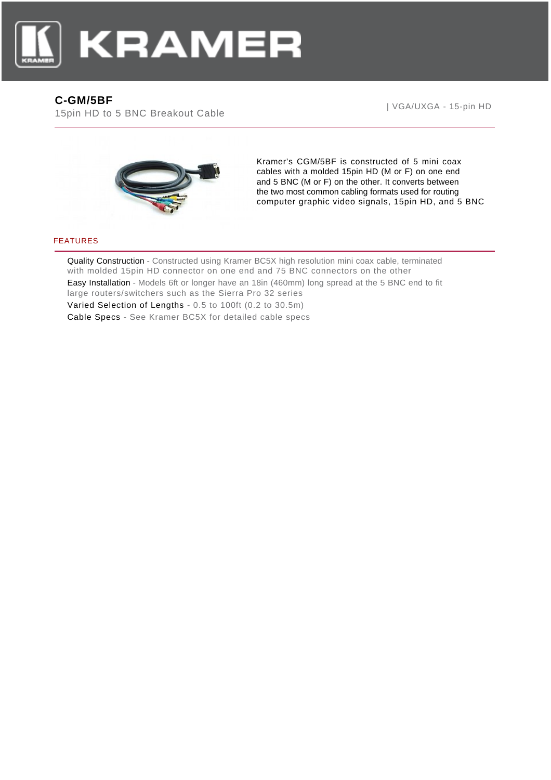

## **C-GM/5BF**

15pin HD to 5 BNC Breakout Cable

| VGA/UXGA - 15-pin HD



Kramer's CGM/5BF is constructed of 5 mini coax cables with a molded 15pin HD (M or F) on one end and 5 BNC (M or F) on the other. It converts between the two most common cabling formats used for routing computer graphic video signals, 15pin HD, and 5 BNC

## FEATURES

Quality Construction - Constructed using Kramer BC5X high resolution mini coax cable, terminated with molded 15pin HD connector on one end and 75 BNC connectors on the other Easy Installation - Models 6ft or longer have an 18in (460mm) long spread at the 5 BNC end to fit large routers/switchers such as the Sierra Pro 32 series Varied Selection of Lengths - 0.5 to 100ft (0.2 to 30.5m) Cable Specs - See Kramer BC5X for detailed cable specs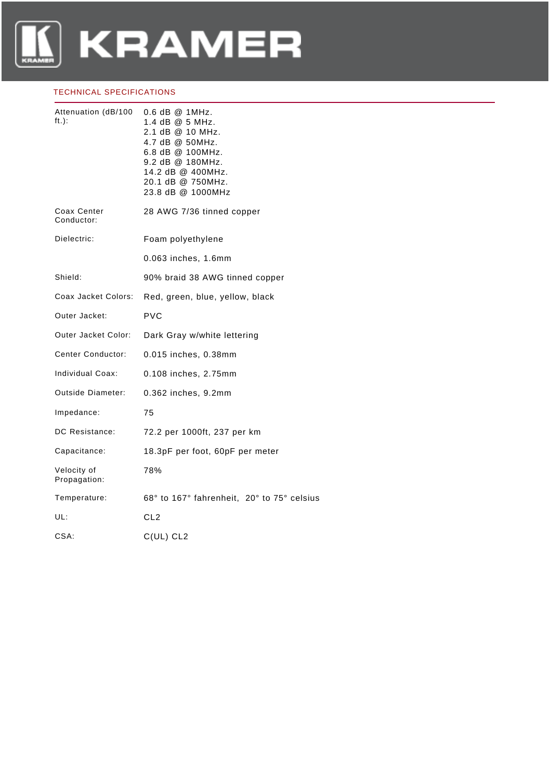

## TECHNICAL SPECIFICATIONS

| Attenuation (dB/100<br>$\mathsf{ft.})$ : | $0.6$ dB $@$ 1MHz.<br>1.4 dB @ 5 MHz.<br>2.1 dB @ 10 MHz.<br>4.7 dB @ 50MHz.<br>6.8 dB @ 100MHz.<br>9.2 dB @ 180MHz.<br>14.2 dB @ 400MHz.<br>20.1 dB @ 750MHz.<br>23.8 dB @ 1000MHz |
|------------------------------------------|-------------------------------------------------------------------------------------------------------------------------------------------------------------------------------------|
| Coax Center<br>Conductor:                | 28 AWG 7/36 tinned copper                                                                                                                                                           |
| Dielectric:                              | Foam polyethylene                                                                                                                                                                   |
|                                          | 0.063 inches, 1.6mm                                                                                                                                                                 |
| Shield:                                  | 90% braid 38 AWG tinned copper                                                                                                                                                      |
| Coax Jacket Colors:                      | Red, green, blue, yellow, black                                                                                                                                                     |
| Outer Jacket:                            | <b>PVC</b>                                                                                                                                                                          |
| Outer Jacket Color:                      | Dark Gray w/white lettering                                                                                                                                                         |
| Center Conductor:                        | 0.015 inches, 0.38mm                                                                                                                                                                |
| Individual Coax:                         | 0.108 inches, 2.75mm                                                                                                                                                                |
| Outside Diameter:                        | 0.362 inches, 9.2mm                                                                                                                                                                 |
| Impedance:                               | 75                                                                                                                                                                                  |
| DC Resistance:                           | 72.2 per 1000ft, 237 per km                                                                                                                                                         |
| Capacitance:                             | 18.3pF per foot, 60pF per meter                                                                                                                                                     |
| Velocity of<br>Propagation:              | 78%                                                                                                                                                                                 |
| Temperature:                             | 68° to 167° fahrenheit, 20° to 75° celsius                                                                                                                                          |
| UL:                                      | CL <sub>2</sub>                                                                                                                                                                     |
| CSA:                                     | C(UL) CL2                                                                                                                                                                           |